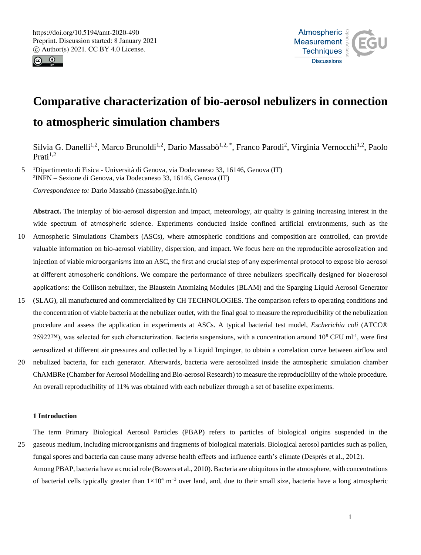



# **Comparative characterization of bio-aerosol nebulizers in connection to atmospheric simulation chambers**

Silvia G. Danelli<sup>1,2</sup>, Marco Brunoldi<sup>1,2</sup>, Dario Massabò<sup>1,2,\*</sup>, Franco Parodi<sup>2</sup>, Virginia Vernocchi<sup>1,2</sup>, Paolo  $Prati<sup>1,2</sup>$ 

5 <sup>1</sup>Dipartimento di Fisica - Università di Genova, via Dodecaneso 33, 16146, Genova (IT) 2 INFN – Sezione di Genova, via Dodecaneso 33, 16146, Genova (IT)

*Correspondence to:* Dario Massabò (massabo@ge.infn.it)

**Abstract.** The interplay of bio-aerosol dispersion and impact, meteorology, air quality is gaining increasing interest in the wide spectrum of atmospheric science. Experiments conducted inside confined artificial environments, such as the

- 10 Atmospheric Simulations Chambers (ASCs), where atmospheric conditions and composition are controlled, can provide valuable information on bio-aerosol viability, dispersion, and impact. We focus here on the reproducible aerosolization and injection of viable microorganisms into an ASC, the first and crucial step of any experimental protocol to expose bio-aerosol at different atmospheric conditions. We compare the performance of three nebulizers specifically designed for bioaerosol applications: the Collison nebulizer, the Blaustein Atomizing Modules (BLAM) and the Sparging Liquid Aerosol Generator
- 15 (SLAG), all manufactured and commercialized by CH TECHNOLOGIES. The comparison refers to operating conditions and the concentration of viable bacteria at the nebulizer outlet, with the final goal to measure the reproducibility of the nebulization procedure and assess the application in experiments at ASCs. A typical bacterial test model, *Escherichia coli* (ATCC® 25922™), was selected for such characterization. Bacteria suspensions, with a concentration around  $10^8$  CFU ml<sup>-1</sup>, were first aerosolized at different air pressures and collected by a Liquid Impinger, to obtain a correlation curve between airflow and
- 20 nebulized bacteria, for each generator. Afterwards, bacteria were aerosolized inside the atmospheric simulation chamber ChAMBRe (Chamber for Aerosol Modelling and Bio-aerosol Research) to measure the reproducibility of the whole procedure. An overall reproducibility of 11% was obtained with each nebulizer through a set of baseline experiments.

## **1 Introduction**

The term Primary Biological Aerosol Particles (PBAP) refers to particles of biological origins suspended in the 25 gaseous medium, including microorganisms and fragments of biological materials. Biological aerosol particles such as pollen, fungal spores and bacteria can cause many adverse health effects and influence earth's climate (Després et al., 2012). Among PBAP, bacteria have a crucial role (Bowers et al., 2010). Bacteria are ubiquitous in the atmosphere, with concentrations of bacterial cells typically greater than  $1\times10^4$  m<sup>-3</sup> over land, and, due to their small size, bacteria have a long atmospheric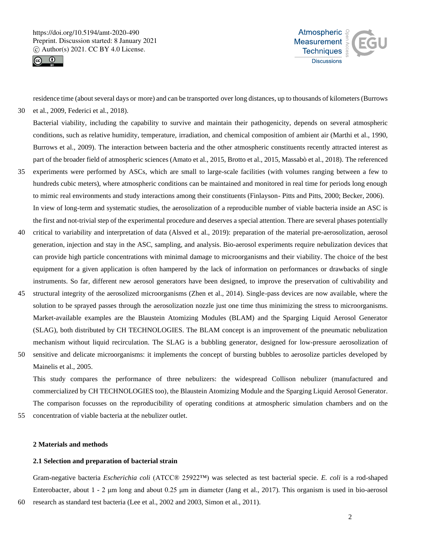



residence time (about several days or more) and can be transported over long distances, up to thousands of kilometers(Burrows 30 et al., 2009, Federici et al., 2018).

Bacterial viability, including the capability to survive and maintain their pathogenicity, depends on several atmospheric conditions, such as relative humidity, temperature, irradiation, and chemical composition of ambient air (Marthi et al., 1990, Burrows et al., 2009). The interaction between bacteria and the other atmospheric constituents recently attracted interest as part of the broader field of atmospheric sciences (Amato et al., 2015, Brotto et al., 2015, Massabò et al., 2018). The referenced

- 35 experiments were performed by ASCs, which are small to large-scale facilities (with volumes ranging between a few to hundreds cubic meters), where atmospheric conditions can be maintained and monitored in real time for periods long enough to mimic real environments and study interactions among their constituents (Finlayson- Pitts and Pitts, 2000; Becker, 2006). In view of long-term and systematic studies, the aerosolization of a reproducible number of viable bacteria inside an ASC is the first and not-trivial step of the experimental procedure and deserves a special attention. There are several phases potentially
- 40 critical to variability and interpretation of data (Alsved et al., 2019): preparation of the material pre-aerosolization, aerosol generation, injection and stay in the ASC, sampling, and analysis. Bio-aerosol experiments require nebulization devices that can provide high particle concentrations with minimal damage to microorganisms and their viability. The choice of the best equipment for a given application is often hampered by the lack of information on performances or drawbacks of single instruments. So far, different new aerosol generators have been designed, to improve the preservation of cultivability and
- 45 structural integrity of the aerosolized microorganisms (Zhen et al., 2014). Single-pass devices are now available, where the solution to be sprayed passes through the aerosolization nozzle just one time thus minimizing the stress to microorganisms. Market-available examples are the Blaustein Atomizing Modules (BLAM) and the Sparging Liquid Aerosol Generator (SLAG), both distributed by CH TECHNOLOGIES. The BLAM concept is an improvement of the pneumatic nebulization mechanism without liquid recirculation. The SLAG is a bubbling generator, designed for low-pressure aerosolization of
- 50 sensitive and delicate microorganisms: it implements the concept of bursting bubbles to aerosolize particles developed by Mainelis et al., 2005.

This study compares the performance of three nebulizers: the widespread Collison nebulizer (manufactured and commercialized by CH TECHNOLOGIES too), the Blaustein Atomizing Module and the Sparging Liquid Aerosol Generator. The comparison focusses on the reproducibility of operating conditions at atmospheric simulation chambers and on the

55 concentration of viable bacteria at the nebulizer outlet.

#### **2 Materials and methods**

## **2.1 Selection and preparation of bacterial strain**

Gram-negative bacteria *Escherichia coli* (ATCC® 25922™) was selected as test bacterial specie. *E. coli* is a rod-shaped Enterobacter, about 1 - 2 μm long and about 0.25 μm in diameter (Jang et al., 2017). This organism is used in bio-aerosol 60 research as standard test bacteria (Lee et al., 2002 and 2003, Simon et al., 2011).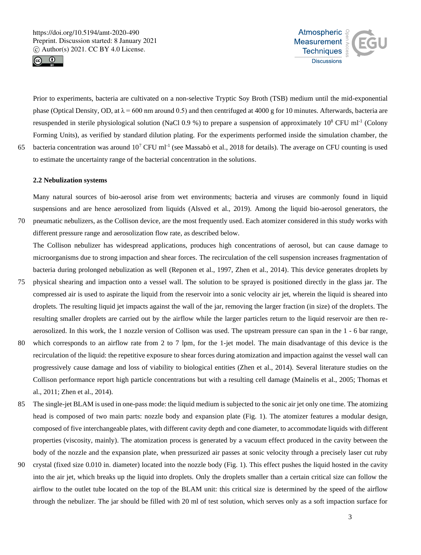



Prior to experiments, bacteria are cultivated on a non-selective Tryptic Soy Broth (TSB) medium until the mid-exponential phase (Optical Density, OD, at  $\lambda$  = 600 nm around 0.5) and then centrifuged at 4000 g for 10 minutes. Afterwards, bacteria are resuspended in sterile physiological solution (NaCl 0.9 %) to prepare a suspension of approximately  $10^8$  CFU ml<sup>-1</sup> (Colony Forming Units), as verified by standard dilution plating. For the experiments performed inside the simulation chamber, the 65 bacteria concentration was around  $10^7$  CFU ml<sup>-1</sup> (see Massabò et al., 2018 for details). The average on CFU counting is used to estimate the uncertainty range of the bacterial concentration in the solutions.

**2.2 Nebulization systems**

Many natural sources of bio-aerosol arise from wet environments; bacteria and viruses are commonly found in liquid suspensions and are hence aerosolized from liquids (Alsved et al., 2019). Among the liquid bio-aerosol generators, the 70 pneumatic nebulizers, as the Collison device, are the most frequently used. Each atomizer considered in this study works with different pressure range and aerosolization flow rate, as described below.

The Collison nebulizer has widespread applications, produces high concentrations of aerosol, but can cause damage to microorganisms due to strong impaction and shear forces. The recirculation of the cell suspension increases fragmentation of bacteria during prolonged nebulization as well (Reponen et al., 1997, Zhen et al., 2014). This device generates droplets by

- 75 physical shearing and impaction onto a vessel wall. The solution to be sprayed is positioned directly in the glass jar. The compressed air is used to aspirate the liquid from the reservoir into a sonic velocity air jet, wherein the liquid is sheared into droplets. The resulting liquid jet impacts against the wall of the jar, removing the larger fraction (in size) of the droplets. The resulting smaller droplets are carried out by the airflow while the larger particles return to the liquid reservoir are then reaerosolized. In this work, the 1 nozzle version of Collison was used. The upstream pressure can span in the 1 - 6 bar range,
- 80 which corresponds to an airflow rate from 2 to 7 lpm, for the 1-jet model. The main disadvantage of this device is the recirculation of the liquid: the repetitive exposure to shear forces during atomization and impaction against the vessel wall can progressively cause damage and loss of viability to biological entities (Zhen et al., 2014). Several literature studies on the Collison performance report high particle concentrations but with a resulting cell damage (Mainelis et al., 2005; Thomas et al., 2011; Zhen et al., 2014).
- 85 The single-jet BLAM is used in one-pass mode: the liquid medium is subjected to the sonic air jet only one time. The atomizing head is composed of two main parts: nozzle body and expansion plate (Fig. 1). The atomizer features a modular design, composed of five interchangeable plates, with different cavity depth and cone diameter, to accommodate liquids with different properties (viscosity, mainly). The atomization process is generated by a vacuum effect produced in the cavity between the body of the nozzle and the expansion plate, when pressurized air passes at sonic velocity through a precisely laser cut ruby
- 90 crystal (fixed size 0.010 in. diameter) located into the nozzle body (Fig. 1). This effect pushes the liquid hosted in the cavity into the air jet, which breaks up the liquid into droplets. Only the droplets smaller than a certain critical size can follow the airflow to the outlet tube located on the top of the BLAM unit: this critical size is determined by the speed of the airflow through the nebulizer. The jar should be filled with 20 ml of test solution, which serves only as a soft impaction surface for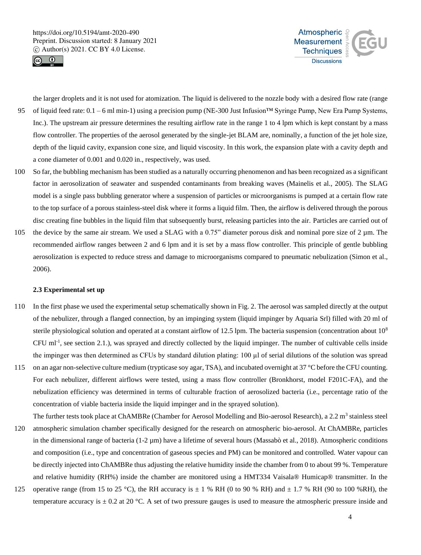



the larger droplets and it is not used for atomization. The liquid is delivered to the nozzle body with a desired flow rate (range 95 of liquid feed rate:  $0.1 - 6$  ml min-1) using a precision pump (NE-300 Just Infusion™ Syringe Pump, New Era Pump Systems, Inc.). The upstream air pressure determines the resulting airflow rate in the range 1 to 4 lpm which is kept constant by a mass flow controller. The properties of the aerosol generated by the single-jet BLAM are, nominally, a function of the jet hole size, depth of the liquid cavity, expansion cone size, and liquid viscosity. In this work, the expansion plate with a cavity depth and a cone diameter of 0.001 and 0.020 in., respectively, was used.

- 100 So far, the bubbling mechanism has been studied as a naturally occurring phenomenon and has been recognized as a significant factor in aerosolization of seawater and suspended contaminants from breaking waves (Mainelis et al., 2005). The SLAG model is a single pass bubbling generator where a suspension of particles or microorganisms is pumped at a certain flow rate to the top surface of a porous stainless-steel disk where it forms a liquid film. Then, the airflow is delivered through the porous disc creating fine bubbles in the liquid film that subsequently burst, releasing particles into the air. Particles are carried out of
- 105 the device by the same air stream. We used a SLAG with a 0.75" diameter porous disk and nominal pore size of  $2 \mu$ m. The recommended airflow ranges between 2 and 6 lpm and it is set by a mass flow controller. This principle of gentle bubbling aerosolization is expected to reduce stress and damage to microorganisms compared to pneumatic nebulization (Simon et al., 2006).

## **2.3 Experimental set up**

- 110 In the first phase we used the experimental setup schematically shown in Fig. 2. The aerosol was sampled directly at the output of the nebulizer, through a flanged connection, by an impinging system (liquid impinger by Aquaria Srl) filled with 20 ml of sterile physiological solution and operated at a constant airflow of 12.5 lpm. The bacteria suspension (concentration about 10<sup>8</sup>)  $CFU$  ml<sup>-1</sup>, see section 2.1.), was sprayed and directly collected by the liquid impinger. The number of cultivable cells inside the impinger was then determined as CFUs by standard dilution plating: 100 μl of serial dilutions of the solution was spread
- 115 on an agar non-selective culture medium (trypticase soy agar, TSA), and incubated overnight at 37 °C before the CFU counting. For each nebulizer, different airflows were tested, using a mass flow controller (Bronkhorst, model F201C-FA), and the nebulization efficiency was determined in terms of culturable fraction of aerosolized bacteria (i.e., percentage ratio of the concentration of viable bacteria inside the liquid impinger and in the sprayed solution).
- The further tests took place at ChAMBRe (Chamber for Aerosol Modelling and Bio-aerosol Research), a 2.2 m<sup>3</sup> stainless steel 120 atmospheric simulation chamber specifically designed for the research on atmospheric bio-aerosol. At ChAMBRe, particles in the dimensional range of bacteria (1-2 µm) have a lifetime of several hours (Massabò et al., 2018). Atmospheric conditions and composition (i.e., type and concentration of gaseous species and PM) can be monitored and controlled. Water vapour can be directly injected into ChAMBRe thus adjusting the relative humidity inside the chamber from 0 to about 99 %. Temperature and relative humidity (RH%) inside the chamber are monitored using a HMT334 Vaisala® Humicap® transmitter. In the
- 125 operative range (from 15 to 25 °C), the RH accuracy is  $\pm$  1 % RH (0 to 90 % RH) and  $\pm$  1.7 % RH (90 to 100 %RH), the temperature accuracy is  $\pm$  0.2 at 20 °C. A set of two pressure gauges is used to measure the atmospheric pressure inside and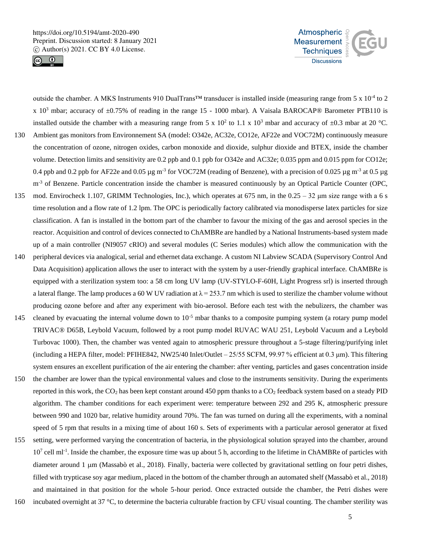



outside the chamber. A MKS Instruments 910 DualTrans<sup>™</sup> transducer is installed inside (measuring range from 5 x 10<sup>-4</sup> to 2 x  $10<sup>3</sup>$  mbar; accuracy of  $\pm 0.75\%$  of reading in the range 15 - 1000 mbar). A Vaisala BAROCAP® Barometer PTB110 is installed outside the chamber with a measuring range from 5 x  $10^2$  to 1.1 x  $10^3$  mbar and accuracy of  $\pm 0.3$  mbar at 20 °C. 130 Ambient gas monitors from Environnement SA (model: O342e, AC32e, CO12e, AF22e and VOC72M) continuously measure the concentration of ozone, nitrogen oxides, carbon monoxide and dioxide, sulphur dioxide and BTEX, inside the chamber volume. Detection limits and sensitivity are 0.2 ppb and 0.1 ppb for O342e and AC32e; 0.035 ppm and 0.015 ppm for CO12e; 0.4 ppb and 0.2 ppb for AF22e and 0.05 µg m<sup>-3</sup> for VOC72M (reading of Benzene), with a precision of 0.025 µg m<sup>-3</sup> at 0.5 µg m<sup>-3</sup> of Benzene. Particle concentration inside the chamber is measured continuously by an Optical Particle Counter (OPC, 135 mod. Envirocheck 1.107, GRIMM Technologies, Inc.), which operates at 675 nm, in the 0.25 – 32 μm size range with a 6 s time resolution and a flow rate of 1.2 lpm. The OPC is periodically factory calibrated via monodisperse latex particles for size classification. A fan is installed in the bottom part of the chamber to favour the mixing of the gas and aerosol species in the reactor. Acquisition and control of devices connected to ChAMBRe are handled by a National Instruments-based system made up of a main controller (NI9057 cRIO) and several modules (C Series modules) which allow the communication with the 140 peripheral devices via analogical, serial and ethernet data exchange. A custom NI Labview SCADA (Supervisory Control And Data Acquisition) application allows the user to interact with the system by a user-friendly graphical interface. ChAMBRe is equipped with a sterilization system too: a 58 cm long UV lamp (UV-STYLO-F-60H, Light Progress srl) is inserted through a lateral flange. The lamp produces a 60 W UV radiation at  $\lambda = 253.7$  nm which is used to sterilize the chamber volume without producing ozone before and after any experiment with bio-aerosol. Before each test with the nebulizers, the chamber was 145 cleaned by evacuating the internal volume down to  $10^{-5}$  mbar thanks to a composite pumping system (a rotary pump model TRIVAC® D65B, Leybold Vacuum, followed by a root pump model RUVAC WAU 251, Leybold Vacuum and a Leybold Turbovac 1000). Then, the chamber was vented again to atmospheric pressure throughout a 5-stage filtering/purifying inlet (including a HEPA filter, model: PFIHE842, NW25/40 Inlet/Outlet – 25/55 SCFM, 99.97 % efficient at 0.3 μm). This filtering system ensures an excellent purification of the air entering the chamber: after venting, particles and gases concentration inside 150 the chamber are lower than the typical environmental values and close to the instruments sensitivity. During the experiments reported in this work, the  $CO<sub>2</sub>$  has been kept constant around 450 ppm thanks to a  $CO<sub>2</sub>$  feedback system based on a steady PID algorithm. The chamber conditions for each experiment were: temperature between 292 and 295 K, atmospheric pressure between 990 and 1020 bar, relative humidity around 70%. The fan was turned on during all the experiments, with a nominal speed of 5 rpm that results in a mixing time of about 160 s. Sets of experiments with a particular aerosol generator at fixed 155 setting, were performed varying the concentration of bacteria, in the physiological solution sprayed into the chamber, around 10<sup>7</sup> cell ml<sup>-1</sup>. Inside the chamber, the exposure time was up about 5 h, according to the lifetime in ChAMBRe of particles with diameter around  $1 \mu m$  (Massabò et al., 2018). Finally, bacteria were collected by gravitational settling on four petri dishes,

filled with trypticase soy agar medium, placed in the bottom of the chamber through an automated shelf (Massabò et al., 2018) and maintained in that position for the whole 5-hour period. Once extracted outside the chamber, the Petri dishes were 160 incubated overnight at 37 °C, to determine the bacteria culturable fraction by CFU visual counting. The chamber sterility was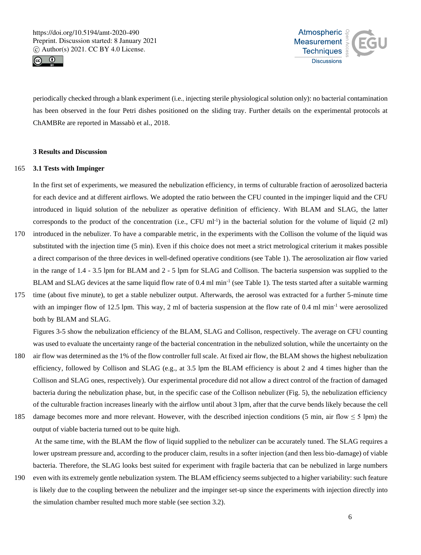



periodically checked through a blank experiment (i.e., injecting sterile physiological solution only): no bacterial contamination has been observed in the four Petri dishes positioned on the sliding tray. Further details on the experimental protocols at ChAMBRe are reported in Massabò et al., 2018.

# **3 Results and Discussion**

## 165 **3.1 Tests with Impinger**

In the first set of experiments, we measured the nebulization efficiency, in terms of culturable fraction of aerosolized bacteria for each device and at different airflows. We adopted the ratio between the CFU counted in the impinger liquid and the CFU introduced in liquid solution of the nebulizer as operative definition of efficiency. With BLAM and SLAG, the latter corresponds to the product of the concentration (i.e., CFU ml<sup>-1</sup>) in the bacterial solution for the volume of liquid  $(2 \text{ ml})$ 

- 170 introduced in the nebulizer. To have a comparable metric, in the experiments with the Collison the volume of the liquid was substituted with the injection time (5 min). Even if this choice does not meet a strict metrological criterium it makes possible a direct comparison of the three devices in well-defined operative conditions (see Table 1). The aerosolization air flow varied in the range of 1.4 - 3.5 lpm for BLAM and 2 - 5 lpm for SLAG and Collison. The bacteria suspension was supplied to the BLAM and SLAG devices at the same liquid flow rate of  $0.4$  ml min<sup>-1</sup> (see Table 1). The tests started after a suitable warming
- 175 time (about five minute), to get a stable nebulizer output. Afterwards, the aerosol was extracted for a further 5-minute time with an impinger flow of 12.5 lpm. This way, 2 ml of bacteria suspension at the flow rate of 0.4 ml min<sup>-1</sup> were aerosolized both by BLAM and SLAG.

Figures 3-5 show the nebulization efficiency of the BLAM, SLAG and Collison, respectively. The average on CFU counting was used to evaluate the uncertainty range of the bacterial concentration in the nebulized solution, while the uncertainty on the

- 180 air flow was determined as the 1% of the flow controller full scale. At fixed air flow, the BLAM shows the highest nebulization efficiency, followed by Collison and SLAG (e.g., at 3.5 lpm the BLAM efficiency is about 2 and 4 times higher than the Collison and SLAG ones, respectively). Our experimental procedure did not allow a direct control of the fraction of damaged bacteria during the nebulization phase, but, in the specific case of the Collison nebulizer (Fig. 5), the nebulization efficiency of the culturable fraction increases linearly with the airflow until about 3 lpm, after that the curve bends likely because the cell
- 185 damage becomes more and more relevant. However, with the described injection conditions (5 min, air flow  $\leq$  5 lpm) the output of viable bacteria turned out to be quite high.

At the same time, with the BLAM the flow of liquid supplied to the nebulizer can be accurately tuned. The SLAG requires a lower upstream pressure and, according to the producer claim, results in a softer injection (and then less bio-damage) of viable bacteria. Therefore, the SLAG looks best suited for experiment with fragile bacteria that can be nebulized in large numbers

190 even with its extremely gentle nebulization system. The BLAM efficiency seems subjected to a higher variability: such feature is likely due to the coupling between the nebulizer and the impinger set-up since the experiments with injection directly into the simulation chamber resulted much more stable (see section 3.2).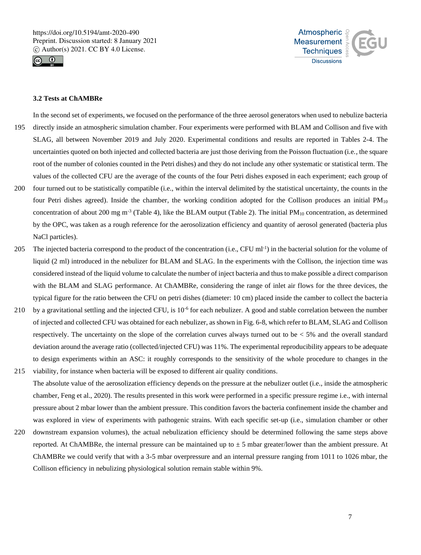



# **3.2 Tests at ChAMBRe**

In the second set of experiments, we focused on the performance of the three aerosol generators when used to nebulize bacteria 195 directly inside an atmospheric simulation chamber. Four experiments were performed with BLAM and Collison and five with SLAG, all between November 2019 and July 2020. Experimental conditions and results are reported in Tables 2-4. The uncertainties quoted on both injected and collected bacteria are just those deriving from the Poisson fluctuation (i.e., the square root of the number of colonies counted in the Petri dishes) and they do not include any other systematic or statistical term. The values of the collected CFU are the average of the counts of the four Petri dishes exposed in each experiment; each group of

- 200 four turned out to be statistically compatible (i.e., within the interval delimited by the statistical uncertainty, the counts in the four Petri dishes agreed). Inside the chamber, the working condition adopted for the Collison produces an initial PM<sup>10</sup> concentration of about 200 mg m<sup>-3</sup> (Table 4), like the BLAM output (Table 2). The initial  $PM_{10}$  concentration, as determined by the OPC, was taken as a rough reference for the aerosolization efficiency and quantity of aerosol generated (bacteria plus NaCl particles).
- 205 The injected bacteria correspond to the product of the concentration (i.e., CFU ml<sup>-1</sup>) in the bacterial solution for the volume of liquid (2 ml) introduced in the nebulizer for BLAM and SLAG. In the experiments with the Collison, the injection time was considered instead of the liquid volume to calculate the number of inject bacteria and thus to make possible a direct comparison with the BLAM and SLAG performance. At ChAMBRe, considering the range of inlet air flows for the three devices, the typical figure for the ratio between the CFU on petri dishes (diameter: 10 cm) placed inside the camber to collect the bacteria
- 210 by a gravitational settling and the injected CFU, is  $10^{-6}$  for each nebulizer. A good and stable correlation between the number of injected and collected CFU was obtained for each nebulizer, as shown in Fig. 6-8, which refer to BLAM, SLAG and Collison respectively. The uncertainty on the slope of the correlation curves always turned out to be  $<$  5% and the overall standard deviation around the average ratio (collected/injected CFU) was 11%. The experimental reproducibility appears to be adequate to design experiments within an ASC: it roughly corresponds to the sensitivity of the whole procedure to changes in the
- 215 viability, for instance when bacteria will be exposed to different air quality conditions. The absolute value of the aerosolization efficiency depends on the pressure at the nebulizer outlet (i.e., inside the atmospheric chamber, Feng et al., 2020). The results presented in this work were performed in a specific pressure regime i.e., with internal pressure about 2 mbar lower than the ambient pressure. This condition favors the bacteria confinement inside the chamber and was explored in view of experiments with pathogenic strains. With each specific set-up (i.e., simulation chamber or other
- 220 downstream expansion volumes), the actual nebulization efficiency should be determined following the same steps above reported. At ChAMBRe, the internal pressure can be maintained up to  $\pm$  5 mbar greater/lower than the ambient pressure. At ChAMBRe we could verify that with a 3-5 mbar overpressure and an internal pressure ranging from 1011 to 1026 mbar, the Collison efficiency in nebulizing physiological solution remain stable within 9%.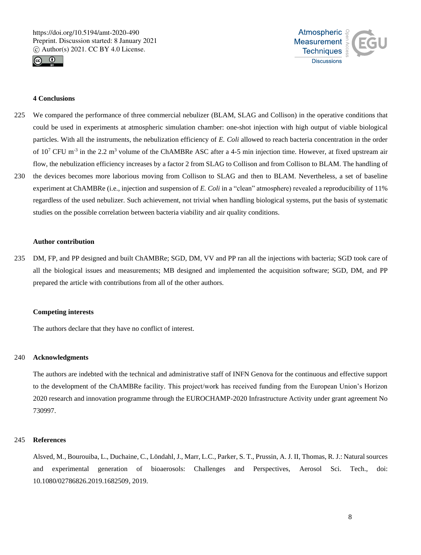



# **4 Conclusions**

- 225 We compared the performance of three commercial nebulizer (BLAM, SLAG and Collison) in the operative conditions that could be used in experiments at atmospheric simulation chamber: one-shot injection with high output of viable biological particles. With all the instruments, the nebulization efficiency of *E. Coli* allowed to reach bacteria concentration in the order of  $10^7$  CFU m<sup>-3</sup> in the 2.2 m<sup>3</sup> volume of the ChAMBRe ASC after a 4-5 min injection time. However, at fixed upstream air flow, the nebulization efficiency increases by a factor 2 from SLAG to Collison and from Collison to BLAM. The handling of 230 the devices becomes more laborious moving from Collison to SLAG and then to BLAM. Nevertheless, a set of baseline experiment at ChAMBRe (i.e., injection and suspension of *E. Coli* in a "clean" atmosphere) revealed a reproducibility of 11%
- regardless of the used nebulizer. Such achievement, not trivial when handling biological systems, put the basis of systematic studies on the possible correlation between bacteria viability and air quality conditions.

#### **Author contribution**

235 DM, FP, and PP designed and built ChAMBRe; SGD, DM, VV and PP ran all the injections with bacteria; SGD took care of all the biological issues and measurements; MB designed and implemented the acquisition software; SGD, DM, and PP prepared the article with contributions from all of the other authors.

#### **Competing interests**

The authors declare that they have no conflict of interest.

#### 240 **Acknowledgments**

The authors are indebted with the technical and administrative staff of INFN Genova for the continuous and effective support to the development of the ChAMBRe facility. This project/work has received funding from the European Union's Horizon 2020 research and innovation programme through the EUROCHAMP-2020 Infrastructure Activity under grant agreement No 730997.

#### 245 **References**

Alsved, M., Bourouiba, L., Duchaine, C., Löndahl, J., Marr, L.C., Parker, S. T., Prussin, A. J. II, Thomas, R. J.: Natural sources and experimental generation of bioaerosols: Challenges and Perspectives, Aerosol Sci. Tech., doi: 10.1080/02786826.2019.1682509, 2019.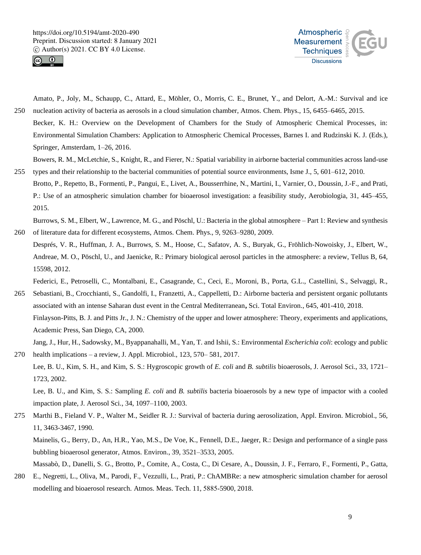



Amato, P., Joly, M., Schaupp, C., Attard, E., Möhler, O., Morris, C. E., Brunet, Y., and Delort, A.-M.: Survival and ice 250 nucleation activity of bacteria as aerosols in a cloud simulation chamber, Atmos. Chem. Phys., 15, 6455–6465, 2015.

Becker, K. H.: Overview on the Development of Chambers for the Study of Atmospheric Chemical Processes, in: Environmental Simulation Chambers: Application to Atmospheric Chemical Processes, Barnes I. and Rudzinski K. J. (Eds.), Springer, Amsterdam, 1–26, 2016.

Bowers, R. M., McLetchie, S., Knight, R., and Fierer, N.: Spatial variability in airborne bacterial communities across land-use 255 types and their relationship to the bacterial communities of potential source environments, Isme J., 5, 601–612, 2010.

Brotto, P., Repetto, B., Formenti, P., Pangui, E., Livet, A., Bousserrhine, N., Martini, I., Varnier, O., Doussin, J.-F., and Prati, P.: Use of an atmospheric simulation chamber for bioaerosol investigation: a feasibility study, Aerobiologia, 31, 445–455, 2015.

Burrows, S. M., Elbert, W., Lawrence, M. G., and Pöschl, U.: Bacteria in the global atmosphere – Part 1: Review and synthesis 260 of literature data for different ecosystems, Atmos. Chem. Phys., 9, 9263–9280, 2009.

Després, V. R., Huffman, J. A., Burrows, S. M., Hoose, C., Safatov, A. S., Buryak, G., Fröhlich-Nowoisky, J., Elbert, W., Andreae, M. O., Pöschl, U., and Jaenicke, R.: Primary biological aerosol particles in the atmosphere: a review, Tellus B, 64, 15598, 2012.

Federici, E., Petroselli, C., Montalbani, E., Casagrande, C., Ceci, E., Moroni, B., Porta, G.L., Castellini, S., Selvaggi, R.,

265 Sebastiani, B., Crocchianti, S., Gandolfi, I., Franzetti, A., Cappelletti, D.: Airborne bacteria and persistent organic pollutants associated with an intense Saharan dust event in the Central Mediterranean**,** Sci. Total Environ., 645, 401-410, 2018. Finlayson-Pitts, B. J. and Pitts Jr., J. N.: Chemistry of the upper and lower atmosphere: Theory, experiments and applications, Academic Press, San Diego, CA, 2000.

Jang, J., Hur, H., Sadowsky, M., Byappanahalli, M., Yan, T. and Ishii, S.: Environmental *Escherichia coli*: ecology and public 270 health implications – a review, J. Appl. Microbiol., 123, 570– 581, 2017.

Lee, B. U., Kim, S. H., and Kim, S. S.: Hygroscopic growth of *E. coli* and *B. subtilis* bioaerosols, J. Aerosol Sci., 33, 1721– 1723, 2002.

Lee, B. U., and Kim, S. S.: Sampling *E. coli* and *B. subtilis* bacteria bioaerosols by a new type of impactor with a cooled impaction plate, J. Aerosol Sci., 34, 1097–1100, 2003.

275 Marthi B., Fieland V. P., Walter M., Seidler R. J.: Survival of bacteria during aerosolization, Appl. Environ. Microbiol., 56, 11, 3463-3467, 1990. Mainelis, G., Berry, D., An, H.R., Yao, M.S., De Voe, K., Fennell, D.E., Jaeger, R.: Design and performance of a single pass

bubbling bioaerosol generator, Atmos. Environ., 39, 3521–3533, 2005. Massabò, D., Danelli, S. G., Brotto, P., Comite, A., Costa, C., Di Cesare, A., Doussin, J. F., Ferraro, F., Formenti, P., Gatta,

280 E., Negretti, L., Oliva, M., Parodi, F., Vezzulli, L., Prati, P.: ChAMBRe: a new atmospheric simulation chamber for aerosol modelling and bioaerosol research. Atmos. Meas. Tech. 11, 5885‐5900, 2018.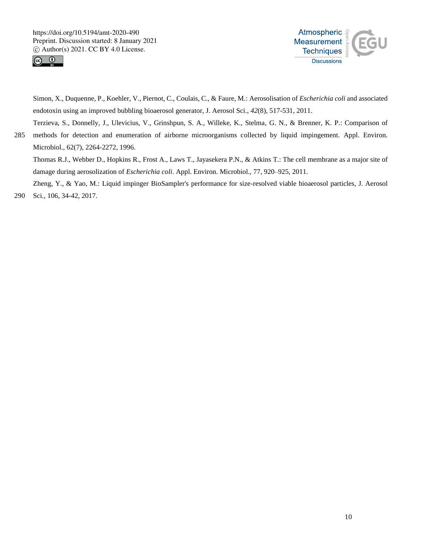



Simon, X., Duquenne, P., Koehler, V., Piernot, C., Coulais, C., & Faure, M.: Aerosolisation of *Escherichia coli* and associated endotoxin using an improved bubbling bioaerosol generator, J. Aerosol Sci., *42*(8), 517-531, 2011.

Terzieva, S., Donnelly, J., Ulevicius, V., Grinshpun, S. A., Willeke, K., Stelma, G. N., & Brenner, K. P.: Comparison of 285 methods for detection and enumeration of airborne microorganisms collected by liquid impingement. Appl. Environ. Microbiol., 62(7), 2264-2272, 1996.

Thomas R.J., Webber D., Hopkins R., Frost A., Laws T., Jayasekera P.N., & Atkins T.: The cell membrane as a major site of damage during aerosolization of *Escherichia coli*. Appl. Environ. Microbiol., 77, 920–925, 2011.

Zheng, Y., & Yao, M.: Liquid impinger BioSampler's performance for size-resolved viable bioaerosol particles, J. Aerosol 290 Sci., 106, 34-42, 2017.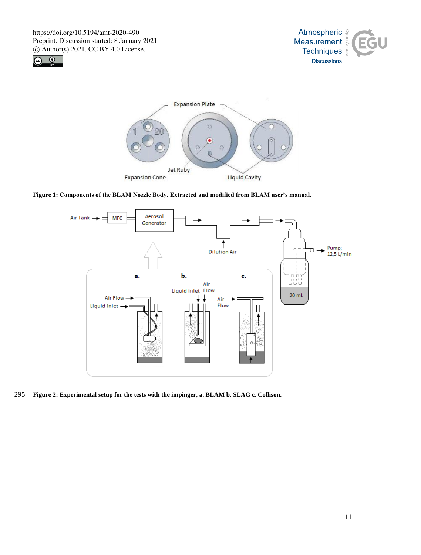





**Figure 1: Components of the BLAM Nozzle Body. Extracted and modified from BLAM user's manual.**



295 **Figure 2: Experimental setup for the tests with the impinger, a. BLAM b. SLAG c. Collison.**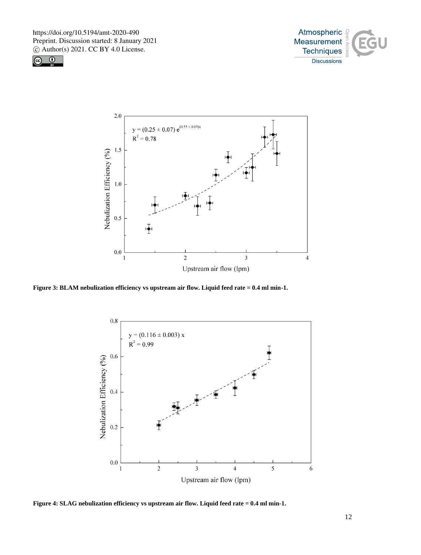





**Figure 3: BLAM nebulization efficiency vs upstream air flow. Liquid feed rate = 0.4 ml min-1.**



**Figure 4: SLAG nebulization efficiency vs upstream air flow. Liquid feed rate = 0.4 ml min-1.**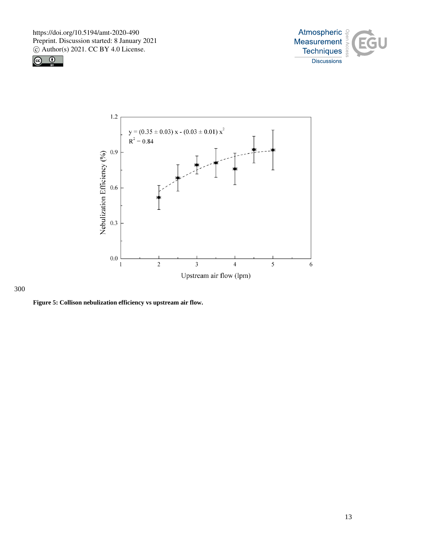





# 300

**Figure 5: Collison nebulization efficiency vs upstream air flow.**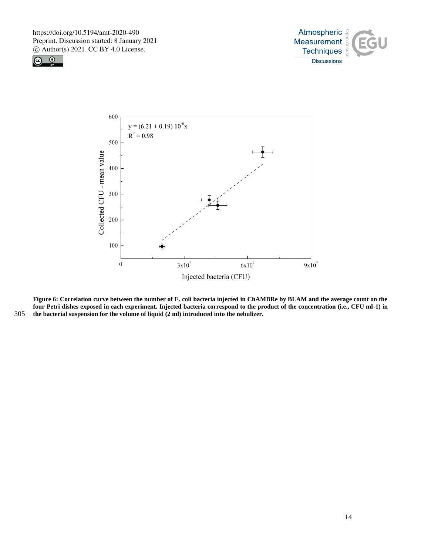





**Figure 6: Correlation curve between the number of E. coli bacteria injected in ChAMBRe by BLAM and the average count on the four Petri dishes exposed in each experiment. Injected bacteria correspond to the product of the concentration (i.e., CFU ml-1) in**  305 **the bacterial suspension for the volume of liquid (2 ml) introduced into the nebulizer.**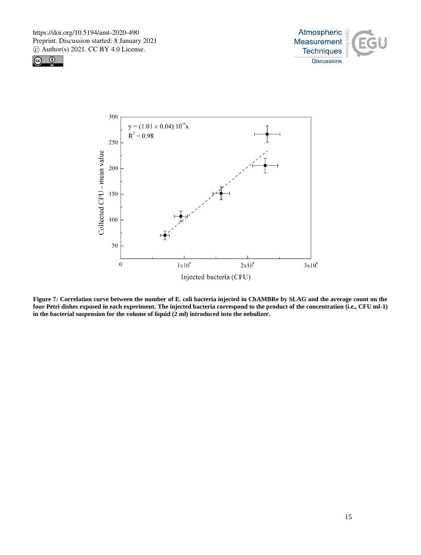





**Figure 7: Correlation curve between the number of E. coli bacteria injected in ChAMBRe by SLAG and the average count on the four Petri dishes exposed in each experiment. The injected bacteria correspond to the product of the concentration (i.e., CFU ml-1) in the bacterial suspension for the volume of liquid (2 ml) introduced into the nebulizer.**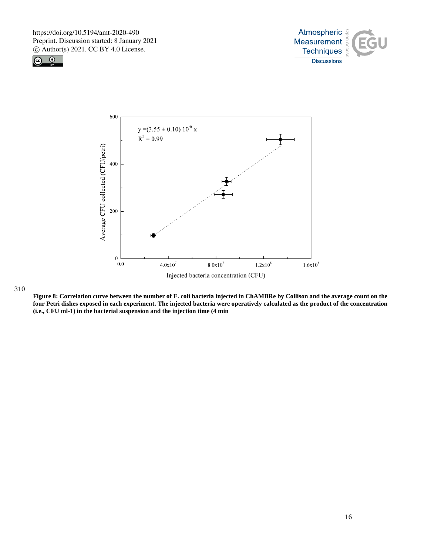





#### 310

**Figure 8: Correlation curve between the number of E. coli bacteria injected in ChAMBRe by Collison and the average count on the four Petri dishes exposed in each experiment. The injected bacteria were operatively calculated as the product of the concentration (i.e., CFU ml-1) in the bacterial suspension and the injection time (4 min**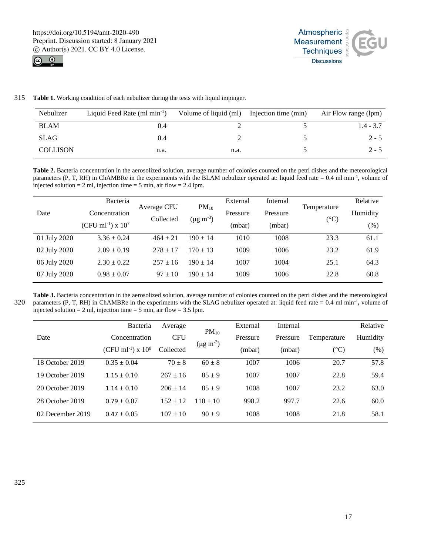



315 **Table 1.** Working condition of each nebulizer during the tests with liquid impinger.

| Nebulizer       | Liquid Feed Rate $(ml min-1)$ | Volume of liquid (ml) Injection time (min) | Air Flow range (lpm) |
|-----------------|-------------------------------|--------------------------------------------|----------------------|
| <b>BLAM</b>     | 0.4                           |                                            | $1.4 - 3.7$          |
| <b>SLAG</b>     | 0.4                           |                                            | $2 - 5$              |
| <b>COLLISON</b> | n.a.                          | n.a.                                       | $2 - 5$              |

**Table 2.** Bacteria concentration in the aerosolized solution, average number of colonies counted on the petri dishes and the meteorological parameters (P, T, RH) in ChAMBRe in the experiments with the BLAM nebulizer operated at: liquid feed rate = 0.4 ml min<sup>-1</sup>, volume of injected solution = 2 ml, injection time = 5 min, air flow = 2.4 lpm.

| Date         | Bacteria<br>Concentration<br>(CFU ml <sup>-1</sup> ) x $10^7$ | Average CFU<br>Collected | $PM_{10}$<br>$(\mu g \, m^{-3})$ | External<br>Pressure<br>(mbar) | Internal<br>Pressure<br>(mbar) | Temperature<br>$({}^{\circ}C)$ | Relative<br>Humidity<br>$(\%)$ |
|--------------|---------------------------------------------------------------|--------------------------|----------------------------------|--------------------------------|--------------------------------|--------------------------------|--------------------------------|
| 01 July 2020 | $3.36 \pm 0.24$                                               | $464 \pm 21$             | $190 \pm 14$                     | 1010                           | 1008                           | 23.3                           | 61.1                           |
| 02 July 2020 | $2.09 \pm 0.19$                                               | $278 \pm 17$             | $170 + 13$                       | 1009                           | 1006                           | 23.2                           | 61.9                           |
| 06 July 2020 | $2.30 \pm 0.22$                                               | $257 + 16$               | $190 + 14$                       | 1007                           | 1004                           | 25.1                           | 64.3                           |
| 07 July 2020 | $0.98 \pm 0.07$                                               | $97 \pm 10$              | $190 + 14$                       | 1009                           | 1006                           | 22.8                           | 60.8                           |

**Table 3.** Bacteria concentration in the aerosolized solution, average number of colonies counted on the petri dishes and the meteorological 320 parameters (P, T, RH) in ChAMBRe in the experiments with the SLAG nebulizer operated at: liquid feed rate = 0.4 ml min<sup>-1</sup>, volume of injected solution = 2 ml, injection time = 5 min, air flow =  $3.5$  lpm.

|                  | Bacteria                            | Average      | $PM_{10}$<br>$(\mu g \, m^{-3})$ | External | Internal |               | Relative |
|------------------|-------------------------------------|--------------|----------------------------------|----------|----------|---------------|----------|
| Date             | Concentration                       | <b>CFU</b>   |                                  | Pressure | Pressure | Temperature   | Humidity |
|                  | $(CFU \text{ ml}^{-1}) \times 10^8$ | Collected    |                                  | (mbar)   | (mbar)   | $(^{\circ}C)$ | $(\% )$  |
| 18 October 2019  | $0.35 \pm 0.04$                     | $70 \pm 8$   | $60 \pm 8$                       | 1007     | 1006     | 20.7          | 57.8     |
| 19 October 2019  | $1.15 \pm 0.10$                     | $267 \pm 16$ | $85 \pm 9$                       | 1007     | 1007     | 22.8          | 59.4     |
| 20 October 2019  | $1.14 \pm 0.10$                     | $206 + 14$   | $85 + 9$                         | 1008     | 1007     | 23.2          | 63.0     |
| 28 October 2019  | $0.79 \pm 0.07$                     | $152 + 12$   | $110 + 10$                       | 998.2    | 997.7    | 22.6          | 60.0     |
| 02 December 2019 | $0.47 \pm 0.05$                     | $107 + 10$   | $90 \pm 9$                       | 1008     | 1008     | 21.8          | 58.1     |
|                  |                                     |              |                                  |          |          |               |          |